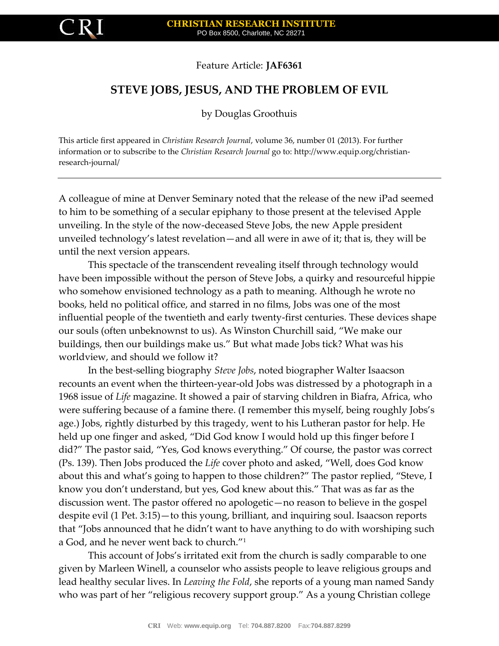

Feature Article: **JAF6361**

# **STEVE JOBS, JESUS, AND THE PROBLEM OF EVIL**

by Douglas Groothuis

This article first appeared in *Christian Research Journal*, volume 36, number 01 (2013). For further information or to subscribe to the *Christian Research Journal* go to: http://www.equip.org/christianresearch-journal/

A colleague of mine at Denver Seminary noted that the release of the new iPad seemed to him to be something of a secular epiphany to those present at the televised Apple unveiling. In the style of the now-deceased Steve Jobs, the new Apple president unveiled technology's latest revelation—and all were in awe of it; that is, they will be until the next version appears.

This spectacle of the transcendent revealing itself through technology would have been impossible without the person of Steve Jobs, a quirky and resourceful hippie who somehow envisioned technology as a path to meaning. Although he wrote no books, held no political office, and starred in no films, Jobs was one of the most influential people of the twentieth and early twenty-first centuries. These devices shape our souls (often unbeknownst to us). As Winston Churchill said, "We make our buildings, then our buildings make us." But what made Jobs tick? What was his worldview, and should we follow it?

In the best-selling biography *Steve Jobs*, noted biographer Walter Isaacson recounts an event when the thirteen-year-old Jobs was distressed by a photograph in a 1968 issue of *Life* magazine. It showed a pair of starving children in Biafra, Africa, who were suffering because of a famine there. (I remember this myself, being roughly Jobs's age.) Jobs, rightly disturbed by this tragedy, went to his Lutheran pastor for help. He held up one finger and asked, "Did God know I would hold up this finger before I did?" The pastor said, "Yes, God knows everything." Of course, the pastor was correct (Ps. 139). Then Jobs produced the *Life* cover photo and asked, "Well, does God know about this and what's going to happen to those children?" The pastor replied, "Steve, I know you don't understand, but yes, God knew about this." That was as far as the discussion went. The pastor offered no apologetic—no reason to believe in the gospel despite evil (1 Pet. 3:15)—to this young, brilliant, and inquiring soul. Isaacson reports that "Jobs announced that he didn't want to have anything to do with worshiping such a God, and he never went back to church."<sup>1</sup>

This account of Jobs's irritated exit from the church is sadly comparable to one given by Marleen Winell, a counselor who assists people to leave religious groups and lead healthy secular lives. In *Leaving the Fold*, she reports of a young man named Sandy who was part of her "religious recovery support group." As a young Christian college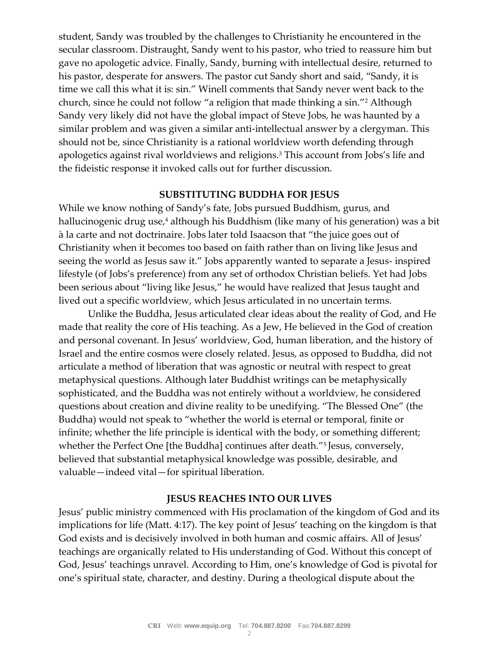student, Sandy was troubled by the challenges to Christianity he encountered in the secular classroom. Distraught, Sandy went to his pastor, who tried to reassure him but gave no apologetic advice. Finally, Sandy, burning with intellectual desire, returned to his pastor, desperate for answers. The pastor cut Sandy short and said, "Sandy, it is time we call this what it is: sin." Winell comments that Sandy never went back to the church, since he could not follow "a religion that made thinking a sin."<sup>2</sup> Although Sandy very likely did not have the global impact of Steve Jobs, he was haunted by a similar problem and was given a similar anti-intellectual answer by a clergyman. This should not be, since Christianity is a rational worldview worth defending through apologetics against rival worldviews and religions.<sup>3</sup> This account from Jobs's life and the fideistic response it invoked calls out for further discussion.

## **SUBSTITUTING BUDDHA FOR JESUS**

While we know nothing of Sandy's fate, Jobs pursued Buddhism, gurus, and hallucinogenic drug use,<sup>4</sup> although his Buddhism (like many of his generation) was a bit la carte and not doctrinaire. Jobs later told Isaacson that "the juice goes out of Christianity when it becomes too based on faith rather than on living like Jesus and seeing the world as Jesus saw it." Jobs apparently wanted to separate a Jesus- inspired lifestyle (of Jobs's preference) from any set of orthodox Christian beliefs. Yet had Jobs been serious about "living like Jesus," he would have realized that Jesus taught and lived out a specific worldview, which Jesus articulated in no uncertain terms.

Unlike the Buddha, Jesus articulated clear ideas about the reality of God, and He made that reality the core of His teaching. As a Jew, He believed in the God of creation and personal covenant. In Jesus' worldview, God, human liberation, and the history of Israel and the entire cosmos were closely related. Jesus, as opposed to Buddha, did not articulate a method of liberation that was agnostic or neutral with respect to great metaphysical questions. Although later Buddhist writings can be metaphysically sophisticated, and the Buddha was not entirely without a worldview, he considered questions about creation and divine reality to be unedifying. "The Blessed One" (the Buddha) would not speak to "whether the world is eternal or temporal, finite or infinite; whether the life principle is identical with the body, or something different; whether the Perfect One [the Buddha] continues after death."<sup>5</sup> Jesus, conversely, believed that substantial metaphysical knowledge was possible, desirable, and valuable—indeed vital—for spiritual liberation.

# **JESUS REACHES INTO OUR LIVES**

Jesus' public ministry commenced with His proclamation of the kingdom of God and its implications for life (Matt. 4:17). The key point of Jesus' teaching on the kingdom is that God exists and is decisively involved in both human and cosmic affairs. All of Jesus' teachings are organically related to His understanding of God. Without this concept of God, Jesus' teachings unravel. According to Him, one's knowledge of God is pivotal for one's spiritual state, character, and destiny. During a theological dispute about the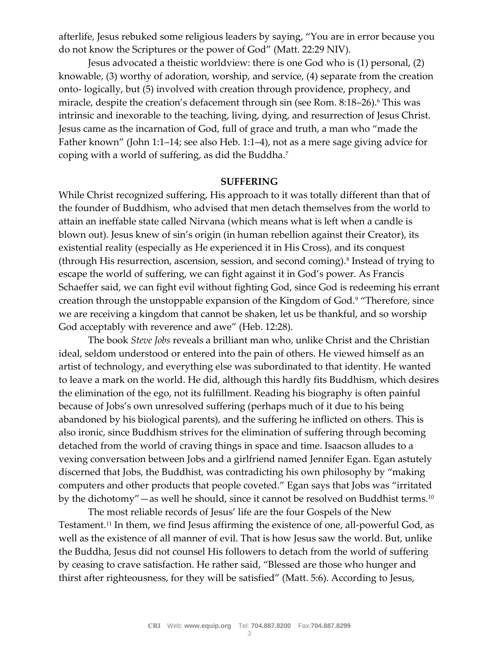afterlife, Jesus rebuked some religious leaders by saying, "You are in error because you do not know the Scriptures or the power of God" (Matt. 22:29 NIV).

Jesus advocated a theistic worldview: there is one God who is (1) personal, (2) knowable, (3) worthy of adoration, worship, and service, (4) separate from the creation onto- logically, but (5) involved with creation through providence, prophecy, and miracle, despite the creation's defacement through sin (see Rom. 8:18-26).<sup>6</sup> This was intrinsic and inexorable to the teaching, living, dying, and resurrection of Jesus Christ. Jesus came as the incarnation of God, full of grace and truth, a man who "made the Father known" (John 1:1–14; see also Heb. 1:1–4), not as a mere sage giving advice for coping with a world of suffering, as did the Buddha.<sup>7</sup>

### **SUFFERING**

While Christ recognized suffering, His approach to it was totally different than that of the founder of Buddhism, who advised that men detach themselves from the world to attain an ineffable state called Nirvana (which means what is left when a candle is blown out). Jesus knew of sin's origin (in human rebellion against their Creator), its existential reality (especially as He experienced it in His Cross), and its conquest (through His resurrection, ascension, session, and second coming).<sup>8</sup> Instead of trying to escape the world of suffering, we can fight against it in God's power. As Francis Schaeffer said, we can fight evil without fighting God, since God is redeeming his errant creation through the unstoppable expansion of the Kingdom of God.<sup>9</sup> "Therefore, since we are receiving a kingdom that cannot be shaken, let us be thankful, and so worship God acceptably with reverence and awe" (Heb. 12:28).

The book *Steve Jobs* reveals a brilliant man who, unlike Christ and the Christian ideal, seldom understood or entered into the pain of others. He viewed himself as an artist of technology, and everything else was subordinated to that identity. He wanted to leave a mark on the world. He did, although this hardly fits Buddhism, which desires the elimination of the ego, not its fulfillment. Reading his biography is often painful because of Jobs's own unresolved suffering (perhaps much of it due to his being abandoned by his biological parents), and the suffering he inflicted on others. This is also ironic, since Buddhism strives for the elimination of suffering through becoming detached from the world of craving things in space and time. Isaacson alludes to a vexing conversation between Jobs and a girlfriend named Jennifer Egan. Egan astutely discerned that Jobs, the Buddhist, was contradicting his own philosophy by "making computers and other products that people coveted." Egan says that Jobs was "irritated by the dichotomy"—as well he should, since it cannot be resolved on Buddhist terms.<sup>10</sup>

The most reliable records of Jesus' life are the four Gospels of the New Testament.<sup>11</sup> In them, we find Jesus affirming the existence of one, all-powerful God, as well as the existence of all manner of evil. That is how Jesus saw the world. But, unlike the Buddha, Jesus did not counsel His followers to detach from the world of suffering by ceasing to crave satisfaction. He rather said, "Blessed are those who hunger and thirst after righteousness, for they will be satisfied" (Matt. 5:6). According to Jesus,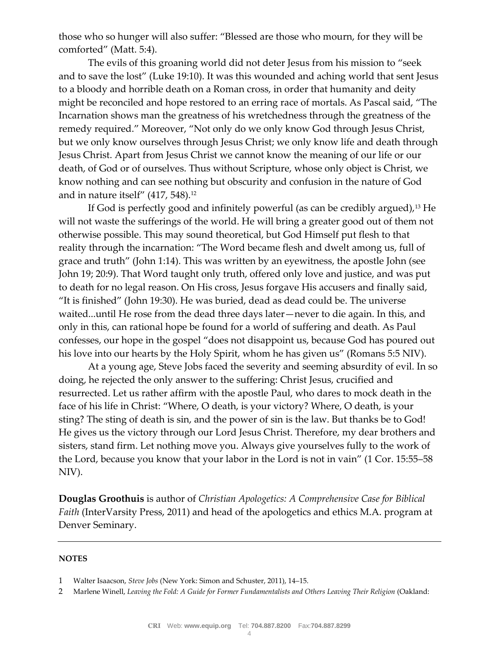those who so hunger will also suffer: "Blessed are those who mourn, for they will be comforted" (Matt. 5:4).

The evils of this groaning world did not deter Jesus from his mission to "seek and to save the lost" (Luke 19:10). It was this wounded and aching world that sent Jesus to a bloody and horrible death on a Roman cross, in order that humanity and deity might be reconciled and hope restored to an erring race of mortals. As Pascal said, "The Incarnation shows man the greatness of his wretchedness through the greatness of the remedy required." Moreover, "Not only do we only know God through Jesus Christ, but we only know ourselves through Jesus Christ; we only know life and death through Jesus Christ. Apart from Jesus Christ we cannot know the meaning of our life or our death, of God or of ourselves. Thus without Scripture, whose only object is Christ, we know nothing and can see nothing but obscurity and confusion in the nature of God and in nature itself"  $(417, 548).$ <sup>12</sup>

If God is perfectly good and infinitely powerful (as can be credibly argued),<sup>13</sup> He will not waste the sufferings of the world. He will bring a greater good out of them not otherwise possible. This may sound theoretical, but God Himself put flesh to that reality through the incarnation: "The Word became flesh and dwelt among us, full of grace and truth" (John 1:14). This was written by an eyewitness, the apostle John (see John 19; 20:9). That Word taught only truth, offered only love and justice, and was put to death for no legal reason. On His cross, Jesus forgave His accusers and finally said, "It is finished" (John 19:30). He was buried, dead as dead could be. The universe waited...until He rose from the dead three days later—never to die again. In this, and only in this, can rational hope be found for a world of suffering and death. As Paul confesses, our hope in the gospel "does not disappoint us, because God has poured out his love into our hearts by the Holy Spirit, whom he has given us" (Romans 5:5 NIV).

At a young age, Steve Jobs faced the severity and seeming absurdity of evil. In so doing, he rejected the only answer to the suffering: Christ Jesus, crucified and resurrected. Let us rather affirm with the apostle Paul, who dares to mock death in the face of his life in Christ: "Where, O death, is your victory? Where, O death, is your sting? The sting of death is sin, and the power of sin is the law. But thanks be to God! He gives us the victory through our Lord Jesus Christ. Therefore, my dear brothers and sisters, stand firm. Let nothing move you. Always give yourselves fully to the work of the Lord, because you know that your labor in the Lord is not in vain" (1 Cor. 15:55–58 NIV).

**Douglas Groothuis** is author of *Christian Apologetics: A Comprehensive Case for Biblical Faith* (InterVarsity Press, 2011) and head of the apologetics and ethics M.A. program at Denver Seminary.

#### **NOTES**

<sup>1</sup> Walter Isaacson, *Steve Jobs* (New York: Simon and Schuster, 2011), 14–15.

<sup>2</sup> Marlene Winell, *Leaving the Fold: A Guide for Former Fundamentalists and Others Leaving Their Religion* (Oakland: